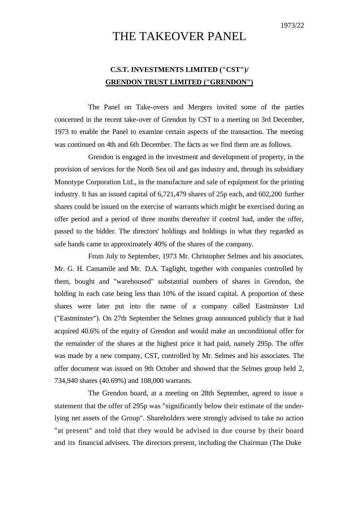# THE TAKEOVER PANEL

## **C.S.T. INVESTMENTS LIMITED ("CST")/ GRENDON TRUST LIMITED ("GRENDON")**

The Panel on Take-overs and Mergers invited some of the parties concerned in the recent take-over of Grendon by CST to a meeting on 3rd December, 1973 to enable the Panel to examine certain aspects of the transaction. The meeting was continued on 4th and 6th December. The facts as we find them are as follows.

Grendon is engaged in the investment and development of property, in the provision of services for the North Sea oil and gas industry and, through its subsidiary Monotype Corporation Ltd., in the manufacture and sale of equipment for the printing industry. It has an issued capital of 6,721,479 shares of 25p each, and 602,200 further shares could be issued on the exercise of warrants which might be exercised during an offer period and a period of three months thereafter if control had, under the offer, passed to the bidder. The directors' holdings and holdings in what they regarded as safe hands came to approximately 40% of the shares of the company.

From July to September, 1973 Mr. Christopher Selmes and his associates, Mr. G. H. Camamile and Mr. D.A. Taglight, together with companies controlled by them, bought and "warehoused" substantial numbers of shares in Grendon, the holding in each case being less than 10% of the issued capital. A proportion of these shares were later put into the name of a company called Eastminster Ltd ("Eastminster"). On 27th September the Selmes group announced publicly that it had acquired 40.6% of the equity of Grendon and would make an unconditional offer for the remainder of the shares at the highest price it had paid, namely 295p. The offer was made by a new company, CST, controlled by Mr. Selmes and his associates. The offer document was issued on 9th October and showed that the Selmes group held 2, 734,940 shares (40.69%) and 108,000 warrants.

The Grendon board, at a meeting on 28th September, agreed to issue a statement that the offer of 295p was "significantly below their estimate of the underlying net assets of the Group". Shareholders were strongly advised to take no action "at present" and told that they would be advised in due course by their board and its financial advisers. The directors present, including the Chairman (The Duke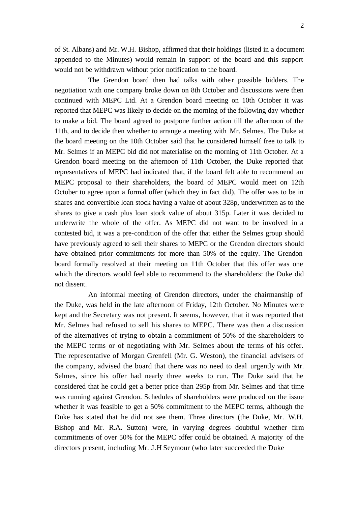of St. Albans) and Mr. W.H. Bishop, affirmed that their holdings (listed in a document appended to the Minutes) would remain in support of the board and this support would not be withdrawn without prior notification to the board.

The Grendon board then had talks with other possible bidders. The negotiation with one company broke down on 8th October and discussions were then continued with MEPC Ltd. At a Grendon board meeting on 10th October it was reported that MEPC was likely to decide on the morning of the following day whether to make a bid. The board agreed to postpone further action till the afternoon of the 11th, and to decide then whether to arrange a meeting with Mr. Selmes. The Duke at the board meeting on the 10th October said that he considered himself free to talk to Mr. Selmes if an MEPC bid did not materialise on the morning of 11th October. At a Grendon board meeting on the afternoon of 11th October, the Duke reported that representatives of MEPC had indicated that, if the board felt able to recommend an MEPC proposal to their shareholders, the board of MEPC would meet on 12th October to agree upon a formal offer (which they in fact did). The offer was to be in shares and convertible loan stock having a value of about 328p, underwritten as to the shares to give a cash plus loan stock value of about 315p. Later it was decided to underwrite the whole of the offer. As MEPC did not want to be involved in a contested bid, it was a pre-condition of the offer that either the Selmes group should have previously agreed to sell their shares to MEPC or the Grendon directors should have obtained prior commitments for more than 50% of the equity. The Grendon board formally resolved at their meeting on 11th October that this offer was one which the directors would feel able to recommend to the shareholders: the Duke did not dissent.

An informal meeting of Grendon directors, under the chairmanship of the Duke, was held in the late afternoon of Friday, 12th October. No Minutes were kept and the Secretary was not present. It seems, however, that it was reported that Mr. Selmes had refused to sell his shares to MEPC. There was then a discussion of the alternatives of trying to obtain a commitment of 50% of the shareholders to the MEPC terms or of negotiating with Mr. Selmes about the terms of his offer. The representative of Morgan Grenfell (Mr. G. Weston), the financial advisers of the company, advised the board that there was no need to deal urgently with Mr. Selmes, since his offer had nearly three weeks to run. The Duke said that he considered that he could get a better price than 295p from Mr. Selmes and that time was running against Grendon. Schedules of shareholders were produced on the issue whether it was feasible to get a 50% commitment to the MEPC terms, although the Duke has stated that he did not see them. Three directors (the Duke, Mr. W.H. Bishop and Mr. R.A. Sutton) were, in varying degrees doubtful whether firm commitments of over 50% for the MEPC offer could be obtained. A majority of the directors present, including Mr. J.H Seymour (who later succeeded the Duke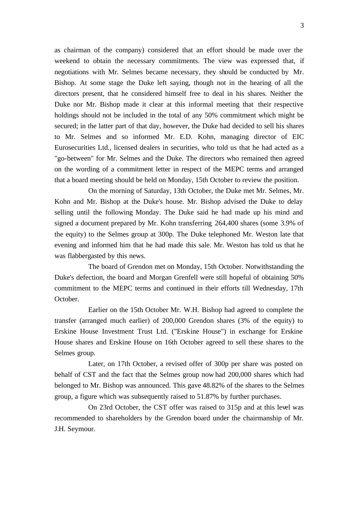as chairman of the company) considered that an effort should be made over the weekend to obtain the necessary commitments. The view was expressed that, if negotiations with Mr. Selmes became necessary, they should be conducted by Mr. Bishop. At some stage the Duke left saying, though not in the hearing of all the directors present, that he considered himself free to deal in his shares. Neither the Duke nor Mr. Bishop made it clear at this informal meeting that their respective holdings should not be included in the total of any 50% commitment which might be secured; in the latter part of that day, however, the Duke had decided to sell his shares to Mr. Selmes and so informed Mr. E.D. Kohn, managing director of EIC Eurosecurities Ltd., licensed dealers in securities, who told us that he had acted as a "go-between" for Mr. Selmes and the Duke. The directors who remained then agreed on the wording of a commitment letter in respect of the MEPC terms and arranged that a board meeting should be held on Monday, 15th October to review the position.

On the morning of Saturday, 13th October, the Duke met Mr. Selmes, Mr. Kohn and Mr. Bishop at the Duke's house. Mr. Bishop advised the Duke to delay selling until the following Monday. The Duke said he had made up his mind and signed a document prepared by Mr. Kohn transferring 264,400 shares (some 3.9% of the equity) to the Selmes group at 300p. The Duke telephoned Mr. Weston late that evening and informed him that he had made this sale. Mr. Weston has told us that he was flabbergasted by this news.

The board of Grendon met on Monday, 15th October. Notwithstanding the Duke's defection, the board and Morgan Grenfell were still hopeful of obtaining 50% commitment to the MEPC terms and continued in their efforts till Wednesday, 17th October.

Earlier on the 15th October Mr. W.H. Bishop had agreed to complete the transfer (arranged much earlier) of 200,000 Grendon shares (3% of the equity) to Erskine House Investment Trust Ltd. ("Erskine House") in exchange for Erskine House shares and Erskine House on 16th October agreed to sell these shares to the Selmes group.

Later, on 17th October, a revised offer of 300p per share was posted on behalf of CST and the fact that the Selmes group now had 200,000 shares which had belonged to Mr. Bishop was announced. This gave 48.82% of the shares to the Selmes group, a figure which was subsequently raised to 51.87% by further purchases.

On 23rd October, the CST offer was raised to 315p and at this level was recommended to shareholders by the Grendon board under the chairmanship of Mr. J.H. Seymour.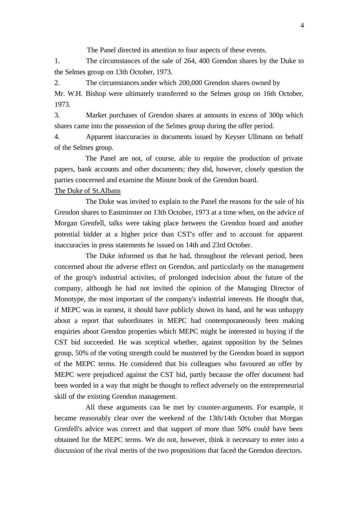The Panel directed its attention to four aspects of these events.

1. The circumstances of the sale of 264, 400 Grendon shares by the Duke to the Selmes group on 13th October, 1973.

2. The circumstances under which 200,000 Grendon shares owned by

Mr. W.H. Bishop were ultimately transferred to the Selmes group on 16th October, 1973.

3. Market purchases of Grendon shares at amounts in excess of 300p which shares came into the possession of the Selmes group during the offer period.

4. Apparent inaccuracies in documents issued by Keyser Ullmann on behalf of the Selmes group.

The Panel are not, of course, able to require the production of private papers, bank accounts and other documents; they did, however, closely question the parties concerned and examine the Minute book of the Grendon board.

#### The Duke of St.Albans

The Duke was invited to explain to the Panel the reasons for the sale of his Grendon shares to Eastminster on 13th October, 1973 at a time when, on the advice of Morgan Grenfell, talks were taking place between the Grendon board and another potential bidder at a higher price than CST's offer and to account for apparent inaccuracies in press statements he issued on 14th and 23rd October.

The Duke informed us that he had, throughout the relevant period, been concerned about the adverse effect on Grendon, and particularly on the management of the group's industrial activites, of prolonged indecision about the future of the company, although he had not invited the opinion of the Managing Director of Monotype, the most important of the company's industrial interests. He thought that, if MEPC was in earnest, it should have publicly shown its hand, and he was unhappy about a report that subordinates in MEPC had contemporaneously been making enquiries about Grendon properties which MEPC might be interested in buying if the CST bid succeeded. He was sceptical whether, against opposition by the Selmes group, 50% of the voting strength could be mustered by the Grendon board in support of the MEPC terms. He considered that his colleagues who favoured an offer by MEPC were prejudiced against the CST bid, partly because the offer document had been worded in a way that might be thought to reflect adversely on the entrepreneurial skill of the existing Grendon management.

All these arguments can be met by counter-arguments. For example, it became reasonably clear over the weekend of the 13th/14th October that Morgan Grenfell's advice was correct and that support of more than 50% could have been obtained for the MEPC terms. We do not, however, think it necessary to enter into a discussion of the rival merits of the two propositions that faced the Grendon directors.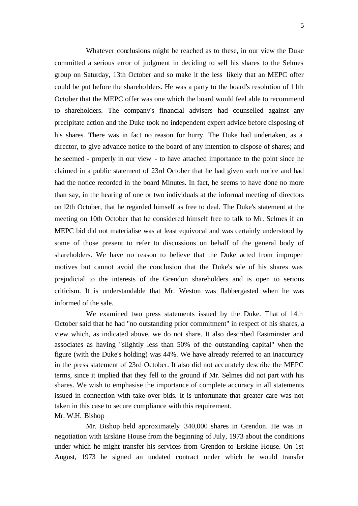Whatever conclusions might be reached as to these, in our view the Duke committed a serious error of judgment in deciding to sell his shares to the Selmes group on Saturday, 13th October and so make it the less likely that an MEPC offer could be put before the shareholders. He was a party to the board's resolution of 11th October that the MEPC offer was one which the board would feel able to recommend to shareholders. The company's financial advisers had counselled against any precipitate action and the Duke took no independent expert advice before disposing of his shares. There was in fact no reason for hurry. The Duke had undertaken, as a director, to give advance notice to the board of any intention to dispose of shares; and he seemed - properly in our view - to have attached importance to the point since he claimed in a public statement of 23rd October that he had given such notice and had had the notice recorded in the board Minutes. In fact, he seems to have done no more than say, in the hearing of one or two individuals at the informal meeting of directors on l2th October, that he regarded himself as free to deal. The Duke's statement at the meeting on 10th October that he considered himself free to talk to Mr. Selmes if an MEPC bid did not materialise was at least equivocal and was certainly understood by some of those present to refer to discussions on behalf of the general body of shareholders. We have no reason to believe that the Duke acted from improper motives but cannot avoid the conclusion that the Duke's sale of his shares was prejudicial to the interests of the Grendon shareholders and is open to serious criticism. It is understandable that Mr. Weston was flabbergasted when he was informed of the sale.

We examined two press statements issued by the Duke. That of 14th October said that he had "no outstanding prior commitment" in respect of his shares, a view which, as indicated above, we do not share. It also described Eastminster and associates as having "slightly less than 50% of the outstanding capital" when the figure (with the Duke's holding) was 44%. We have already referred to an inaccuracy in the press statement of 23rd October. It also did not accurately describe the MEPC terms, since it implied that they fell to the ground if Mr. Selmes did not part with his shares. We wish to emphasise the importance of complete accuracy in all statements issued in connection with take-over bids. It is unfortunate that greater care was not taken in this case to secure compliance with this requirement.

#### Mr. W.H. Bishop

Mr. Bishop held approximately 340,000 shares in Grendon. He was in negotiation with Erskine House from the beginning of July, 1973 about the conditions under which he might transfer his services from Grendon to Erskine House. On 1st August, 1973 he signed an undated contract under which he would transfer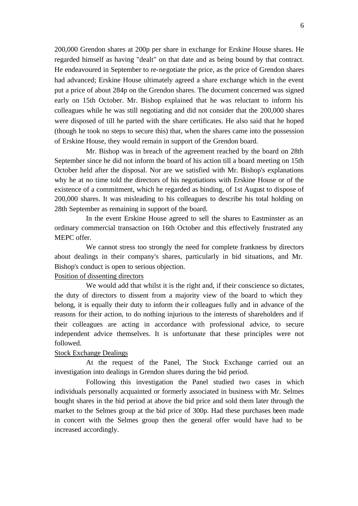200,000 Grendon shares at 200p per share in exchange for Erskine House shares. He regarded himself as having "dealt" on that date and as being bound by that contract. He endeavoured in September to re-negotiate the price, as the price of Grendon shares had advanced; Erskine House ultimately agreed a share exchange which in the event put a price of about 284p on the Grendon shares. The document concerned was signed early on 15th October. Mr. Bishop explained that he was reluctant to inform his colleagues while he was still negotiating and did not consider that the 200,000 shares were disposed of till he parted with the share certificates. He also said that he hoped (though he took no steps to secure this) that, when the shares came into the possession of Erskine House, they would remain in support of the Grendon board.

Mr. Bishop was in breach of the agreement reached by the board on 28th September since he did not inform the board of his action till a board meeting on 15th October held after the disposal. Nor are we satisfied with Mr. Bishop's explanations why he at no time told the directors of his negotiations with Erskine House or of the existence of a commitment, which he regarded as binding, of 1st August to dispose of 200,000 shares. It was misleading to his colleagues to describe his total holding on 28th September as remaining in support of the board.

In the event Erskine House agreed to sell the shares to Eastminster as an ordinary commercial transaction on 16th October and this effectively frustrated any MEPC offer.

We cannot stress too strongly the need for complete frankness by directors about dealings in their company's shares, particularly in bid situations, and Mr. Bishop's conduct is open to serious objection.

### Position of dissenting directors

We would add that whilst it is the right and, if their conscience so dictates, the duty of directors to dissent from a majority view of the board to which they belong, it is equally their duty to inform the ir colleagues fully and in advance of the reasons for their action, to do nothing injurious to the interests of shareholders and if their colleagues are acting in accordance with professional advice, to secure independent advice themselves. It is unfortunate that these principles were not followed.

#### Stock Exchange Dealings

At the request of the Panel, The Stock Exchange carried out an investigation into dealings in Grendon shares during the bid period.

Following this investigation the Panel studied two cases in which individuals personally acquainted or formerly associated in business with Mr. Selmes bought shares in the bid period at above the bid price and sold them later through the market to the Selmes group at the bid price of 300p. Had these purchases been made in concert with the Selmes group then the general offer would have had to be increased accordingly.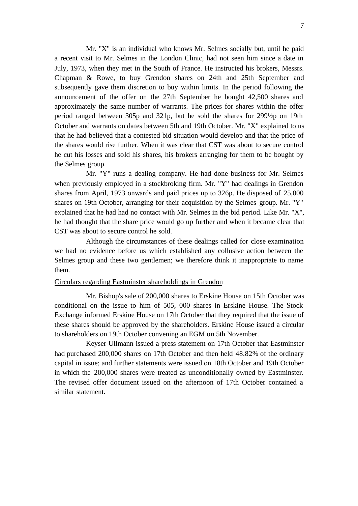Mr. "X" is an individual who knows Mr. Selmes socially but, until he paid a recent visit to Mr. Selmes in the London Clinic, had not seen him since a date in July, 1973, when they met in the South of France. He instructed his brokers, Messrs. Chapman & Rowe, to buy Grendon shares on 24th and 25th September and subsequently gave them discretion to buy within limits. In the period following the announcement of the offer on the 27th September he bought 42,500 shares and approximately the same number of warrants. The prices for shares within the offer period ranged between 305p and 321p, but he sold the shares for 299½p on 19th October and warrants on dates between 5th and 19th October. Mr. "X" explained to us that he had believed that a contested bid situation would develop and that the price of the shares would rise further. When it was clear that CST was about to secure control he cut his losses and sold his shares, his brokers arranging for them to be bought by the Selmes group.

Mr. "Y" runs a dealing company. He had done business for Mr. Selmes when previously employed in a stockbroking firm. Mr. "Y" had dealings in Grendon shares from April, 1973 onwards and paid prices up to 326p. He disposed of 25,000 shares on 19th October, arranging for their acquisition by the Selmes group. Mr. "Y" explained that he had had no contact with Mr. Selmes in the bid period. Like Mr. "X", he had thought that the share price would go up further and when it became clear that CST was about to secure control he sold.

Although the circumstances of these dealings called for close examination we had no evidence before us which established any collusive action between the Selmes group and these two gentlemen; we therefore think it inappropriate to name them.

#### Circulars regarding Eastminster shareholdings in Grendon

Mr. Bishop's sale of 200,000 shares to Erskine House on 15th October was conditional on the issue to him of 505, 000 shares in Erskine House. The Stock Exchange informed Erskine House on 17th October that they required that the issue of these shares should be approved by the shareholders. Erskine House issued a circular to shareholders on 19th October convening an EGM on 5th November.

Keyser Ullmann issued a press statement on 17th October that Eastminster had purchased 200,000 shares on 17th October and then held 48.82% of the ordinary capital in issue; and further statements were issued on 18th October and 19th October in which the 200,000 shares were treated as unconditionally owned by Eastminster. The revised offer document issued on the afternoon of 17th October contained a similar statement.